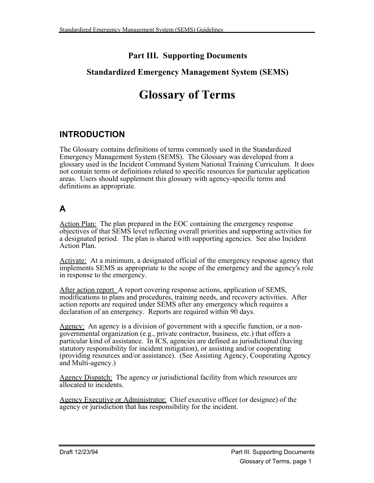# **Part III. Supporting Documents**

## **Standardized Emergency Management System (SEMS)**

# **Glossary of Terms**

# **INTRODUCTION**

The Glossary contains definitions of terms commonly used in the Standardized Emergency Management System (SEMS). The Glossary was developed from a glossary used in the Incident Command System National Training Curriculum. It does not contain terms or definitions related to specific resources for particular application areas. Users should supplement this glossary with agency-specific terms and definitions as appropriate.

# **A**

Action Plan: The plan prepared in the EOC containing the emergency response objectives of that SEMS level reflecting overall priorities and supporting activities for a designated period. The plan is shared with supporting agencies. See also Incident Action Plan.

Activate: At a minimum, a designated official of the emergency response agency that implements SEMS as appropriate to the scope of the emergency and the agency's role in response to the emergency.

After action report A report covering response actions, application of SEMS, modifications to plans and procedures, training needs, and recovery activities. After action reports are required under SEMS after any emergency which requires a declaration of an emergency. Reports are required within 90 days.

Agency: An agency is a division of government with a specific function, or a nongovernmental organization (e.g., private contractor, business, etc.) that offers a particular kind of assistance. In ICS, agencies are defined as jurisdictional (having statutory responsibility for incident mitigation), or assisting and/or cooperating (providing resources and/or assistance). (See Assisting Agency, Cooperating Agency and Multi-agency.)

Agency Dispatch: The agency or jurisdictional facility from which resources are allocated to incidents.

Agency Executive or Administrator: Chief executive officer (or designee) of the agency or jurisdiction that has responsibility for the incident.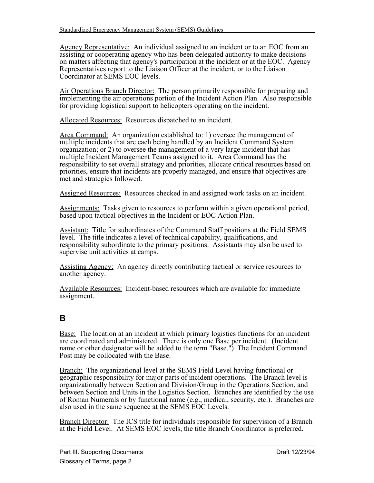Agency Representative: An individual assigned to an incident or to an EOC from an assisting or cooperating agency who has been delegated authority to make decisions on matters affecting that agency's participation at the incident or at the EOC. Agency Representatives report to the Liaison Officer at the incident, or to the Liaison Coordinator at SEMS EOC levels.

Air Operations Branch Director: The person primarily responsible for preparing and implementing the air operations portion of the Incident Action Plan. Also responsible for providing logistical support to helicopters operating on the incident.

Allocated Resources: Resources dispatched to an incident.

Area Command: An organization established to: 1) oversee the management of multiple incidents that are each being handled by an Incident Command System organization; or 2) to oversee the management of a very large incident that has multiple Incident Management Teams assigned to it. Area Command has the responsibility to set overall strategy and priorities, allocate critical resources based on priorities, ensure that incidents are properly managed, and ensure that objectives are met and strategies followed.

Assigned Resources: Resources checked in and assigned work tasks on an incident.

Assignments: Tasks given to resources to perform within a given operational period, based upon tactical objectives in the Incident or EOC Action Plan.

Assistant: Title for subordinates of the Command Staff positions at the Field SEMS level. The title indicates a level of technical capability, qualifications, and responsibility subordinate to the primary positions. Assistants may also be used to supervise unit activities at camps.

Assisting Agency: An agency directly contributing tactical or service resources to another agency.

Available Resources: Incident-based resources which are available for immediate assignment.

# **B**

**Base:** The location at an incident at which primary logistics functions for an incident are coordinated and administered. There is only one Base per incident. (Incident name or other designator will be added to the term "Base.") The Incident Command Post may be collocated with the Base.

Branch: The organizational level at the SEMS Field Level having functional or geographic responsibility for major parts of incident operations. The Branch level is organizationally between Section and Division/Group in the Operations Section, and between Section and Units in the Logistics Section. Branches are identified by the use of Roman Numerals or by functional name (e.g., medical, security, etc.). Branches are also used in the same sequence at the SEMS EOC Levels.

**Branch Director:** The ICS title for individuals responsible for supervision of a Branch at the Field Level. At SEMS EOC levels, the title Branch Coordinator is preferred.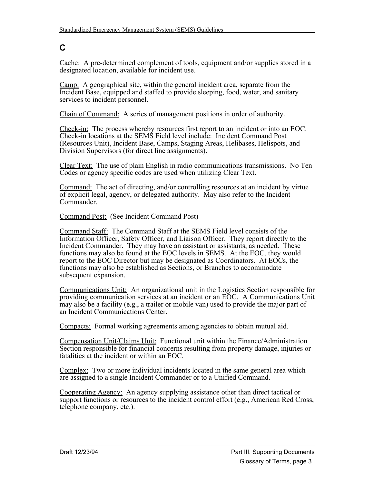# **C**

Cache: A pre-determined complement of tools, equipment and/or supplies stored in a designated location, available for incident use.

Camp: A geographical site, within the general incident area, separate from the Incident Base, equipped and staffed to provide sleeping, food, water, and sanitary services to incident personnel.

Chain of Command: A series of management positions in order of authority.

Check-in: The process whereby resources first report to an incident or into an EOC. Check-in locations at the SEMS Field level include: Incident Command Post (Resources Unit), Incident Base, Camps, Staging Areas, Helibases, Helispots, and Division Supervisors (for direct line assignments).

Clear Text: The use of plain English in radio communications transmissions. No Ten Codes or agency specific codes are used when utilizing Clear Text.

Command: The act of directing, and/or controlling resources at an incident by virtue of explicit legal, agency, or delegated authority. May also refer to the Incident Commander.

Command Post: (See Incident Command Post)

Command Staff: The Command Staff at the SEMS Field level consists of the Information Officer, Safety Officer, and Liaison Officer. They report directly to the Incident Commander. They may have an assistant or assistants, as needed. These functions may also be found at the EOC levels in SEMS. At the EOC, they would report to the EOC Director but may be designated as Coordinators. At EOCs, the functions may also be established as Sections, or Branches to accommodate subsequent expansion.

Communications Unit: An organizational unit in the Logistics Section responsible for providing communication services at an incident or an EOC. A Communications Unit may also be a facility (e.g., a trailer or mobile van) used to provide the major part of an Incident Communications Center.

Compacts: Formal working agreements among agencies to obtain mutual aid.

Compensation Unit/Claims Unit: Functional unit within the Finance/Administration Section responsible for financial concerns resulting from property damage, injuries or fatalities at the incident or within an EOC.

Complex: Two or more individual incidents located in the same general area which are assigned to a single Incident Commander or to a Unified Command.

Cooperating Agency: An agency supplying assistance other than direct tactical or support functions or resources to the incident control effort (e.g., American Red Cross, telephone company, etc.).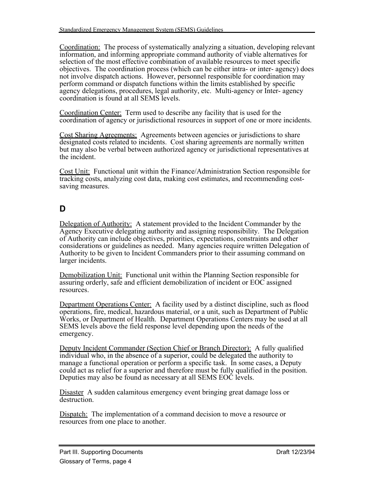Coordination: The process of systematically analyzing a situation, developing relevant information, and informing appropriate command authority of viable alternatives for selection of the most effective combination of available resources to meet specific objectives. The coordination process (which can be either intra- or inter- agency) does not involve dispatch actions. However, personnel responsible for coordination may perform command or dispatch functions within the limits established by specific agency delegations, procedures, legal authority, etc. Multi-agency or Inter- agency coordination is found at all SEMS levels.

Coordination Center: Term used to describe any facility that is used for the coordination of agency or jurisdictional resources in support of one or more incidents.

Cost Sharing Agreements: Agreements between agencies or jurisdictions to share designated costs related to incidents. Cost sharing agreements are normally written but may also be verbal between authorized agency or jurisdictional representatives at the incident.

Cost Unit: Functional unit within the Finance/Administration Section responsible for tracking costs, analyzing cost data, making cost estimates, and recommending costsaving measures.

# **D**

Delegation of Authority: A statement provided to the Incident Commander by the Agency Executive delegating authority and assigning responsibility. The Delegation of Authority can include objectives, priorities, expectations, constraints and other considerations or guidelines as needed. Many agencies require written Delegation of Authority to be given to Incident Commanders prior to their assuming command on larger incidents.

Demobilization Unit: Functional unit within the Planning Section responsible for assuring orderly, safe and efficient demobilization of incident or EOC assigned resources.

Department Operations Center: A facility used by a distinct discipline, such as flood operations, fire, medical, hazardous material, or a unit, such as Department of Public Works, or Department of Health. Department Operations Centers may be used at all SEMS levels above the field response level depending upon the needs of the emergency.

Deputy Incident Commander (Section Chief or Branch Director): A fully qualified individual who, in the absence of a superior, could be delegated the authority to manage a functional operation or perform a specific task. In some cases, a Deputy could act as relief for a superior and therefore must be fully qualified in the position. Deputies may also be found as necessary at all SEMS EOC levels.

Disaster A sudden calamitous emergency event bringing great damage loss or destruction.

Dispatch: The implementation of a command decision to move a resource or resources from one place to another.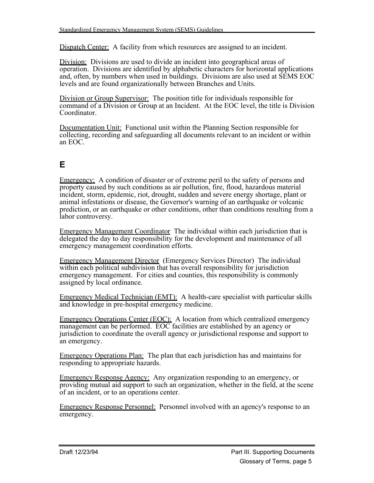Dispatch Center: A facility from which resources are assigned to an incident.

Division: Divisions are used to divide an incident into geographical areas of operation. Divisions are identified by alphabetic characters for horizontal applications and, often, by numbers when used in buildings. Divisions are also used at SEMS EOC levels and are found organizationally between Branches and Units.

Division or Group Supervisor: The position title for individuals responsible for command of a Division or Group at an Incident. At the EOC level, the title is Division **Coordinator** 

Documentation Unit: Functional unit within the Planning Section responsible for collecting, recording and safeguarding all documents relevant to an incident or within an EOC.

# **E**

Emergency: A condition of disaster or of extreme peril to the safety of persons and property caused by such conditions as air pollution, fire, flood, hazardous material incident, storm, epidemic, riot, drought, sudden and severe energy shortage, plant or animal infestations or disease, the Governor's warning of an earthquake or volcanic prediction, or an earthquake or other conditions, other than conditions resulting from a labor controversy.

Emergency Management Coordinator The individual within each jurisdiction that is delegated the day to day responsibility for the development and maintenance of all emergency management coordination efforts.

Emergency Management Director (Emergency Services Director) The individual within each political subdivision that has overall responsibility for jurisdiction emergency management. For cities and counties, this responsibility is commonly assigned by local ordinance.

Emergency Medical Technician (EMT): A health-care specialist with particular skills and knowledge in pre-hospital emergency medicine.

Emergency Operations Center (EOC): A location from which centralized emergency management can be performed. EOC facilities are established by an agency or jurisdiction to coordinate the overall agency or jurisdictional response and support to an emergency.

Emergency Operations Plan: The plan that each jurisdiction has and maintains for responding to appropriate hazards.

Emergency Response Agency: Any organization responding to an emergency, or providing mutual aid support to such an organization, whether in the field, at the scene of an incident, or to an operations center.

Emergency Response Personnel: Personnel involved with an agency's response to an emergency.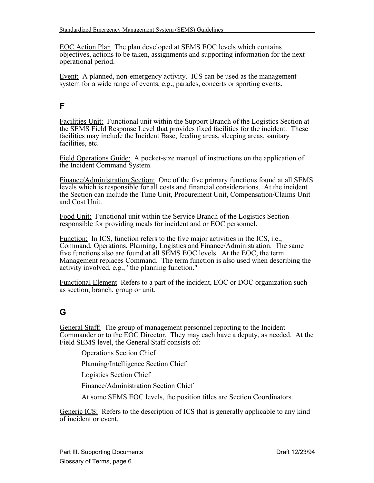EOC Action Plan The plan developed at SEMS EOC levels which contains objectives, actions to be taken, assignments and supporting information for the next operational period.

Event: A planned, non-emergency activity. ICS can be used as the management system for a wide range of events, e.g., parades, concerts or sporting events.

#### **F**

Facilities Unit: Functional unit within the Support Branch of the Logistics Section at the SEMS Field Response Level that provides fixed facilities for the incident. These facilities may include the Incident Base, feeding areas, sleeping areas, sanitary facilities, etc.

Field Operations Guide: A pocket-size manual of instructions on the application of the Incident Command System.

Finance/Administration Section: One of the five primary functions found at all SEMS levels which is responsible for all costs and financial considerations. At the incident the Section can include the Time Unit, Procurement Unit, Compensation/Claims Unit and Cost Unit.

Food Unit: Functional unit within the Service Branch of the Logistics Section responsible for providing meals for incident and or EOC personnel.

Function: In ICS, function refers to the five major activities in the ICS, i.e., Command, Operations, Planning, Logistics and Finance/Administration. The same five functions also are found at all SEMS EOC levels. At the EOC, the term Management replaces Command. The term function is also used when describing the activity involved, e.g., "the planning function."

Functional Element Refers to a part of the incident, EOC or DOC organization such as section, branch, group or unit.

## **G**

General Staff: The group of management personnel reporting to the Incident Commander or to the EOC Director. They may each have a deputy, as needed. At the Field SEMS level, the General Staff consists of:

Operations Section Chief

Planning/Intelligence Section Chief

Logistics Section Chief

Finance/Administration Section Chief

At some SEMS EOC levels, the position titles are Section Coordinators.

Generic ICS: Refers to the description of ICS that is generally applicable to any kind of incident or event.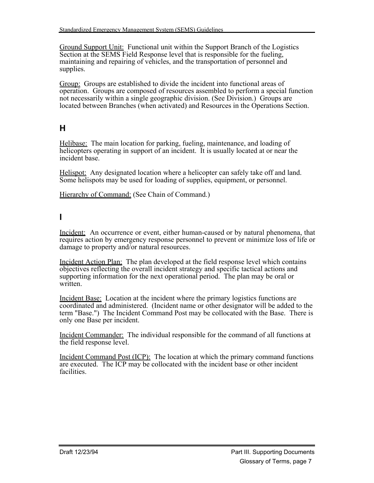Ground Support Unit: Functional unit within the Support Branch of the Logistics Section at the SEMS Field Response level that is responsible for the fueling, maintaining and repairing of vehicles, and the transportation of personnel and supplies.

Group: Groups are established to divide the incident into functional areas of operation. Groups are composed of resources assembled to perform a special function not necessarily within a single geographic division. (See Division.) Groups are located between Branches (when activated) and Resources in the Operations Section.

# **H**

Helibase: The main location for parking, fueling, maintenance, and loading of helicopters operating in support of an incident. It is usually located at or near the incident base.

Helispot: Any designated location where a helicopter can safely take off and land. Some helispots may be used for loading of supplies, equipment, or personnel.

Hierarchy of Command: (See Chain of Command.)

#### **I**

Incident: An occurrence or event, either human-caused or by natural phenomena, that requires action by emergency response personnel to prevent or minimize loss of life or damage to property and/or natural resources.

Incident Action Plan: The plan developed at the field response level which contains objectives reflecting the overall incident strategy and specific tactical actions and supporting information for the next operational period. The plan may be oral or written.

Incident Base: Location at the incident where the primary logistics functions are coordinated and administered. (Incident name or other designator will be added to the term "Base.") The Incident Command Post may be collocated with the Base. There is only one Base per incident.

Incident Commander: The individual responsible for the command of all functions at the field response level.

Incident Command Post (ICP): The location at which the primary command functions are executed. The ICP may be collocated with the incident base or other incident facilities.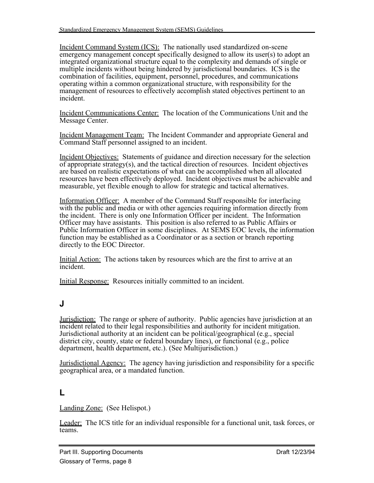Incident Command System (ICS): The nationally used standardized on-scene emergency management concept specifically designed to allow its user(s) to adopt an integrated organizational structure equal to the complexity and demands of single or multiple incidents without being hindered by jurisdictional boundaries. ICS is the combination of facilities, equipment, personnel, procedures, and communications operating within a common organizational structure, with responsibility for the management of resources to effectively accomplish stated objectives pertinent to an incident.

Incident Communications Center: The location of the Communications Unit and the Message Center.

Incident Management Team: The Incident Commander and appropriate General and Command Staff personnel assigned to an incident.

Incident Objectives: Statements of guidance and direction necessary for the selection of appropriate strategy(s), and the tactical direction of resources. Incident objectives are based on realistic expectations of what can be accomplished when all allocated resources have been effectively deployed. Incident objectives must be achievable and measurable, yet flexible enough to allow for strategic and tactical alternatives.

Information Officer: A member of the Command Staff responsible for interfacing with the public and media or with other agencies requiring information directly from the incident. There is only one Information Officer per incident. The Information Officer may have assistants. This position is also referred to as Public Affairs or Public Information Officer in some disciplines. At SEMS EOC levels, the information function may be established as a Coordinator or as a section or branch reporting directly to the EOC Director.

Initial Action: The actions taken by resources which are the first to arrive at an incident.

Initial Response: Resources initially committed to an incident.

#### **J**

Jurisdiction: The range or sphere of authority. Public agencies have jurisdiction at an incident related to their legal responsibilities and authority for incident mitigation. Jurisdictional authority at an incident can be political/geographical (e.g., special district city, county, state or federal boundary lines), or functional (e.g., police department, health department, etc.). (See Multijurisdiction.)

Jurisdictional Agency: The agency having jurisdiction and responsibility for a specific geographical area, or a mandated function.

#### **L**

Landing Zone: (See Helispot.)

Leader: The ICS title for an individual responsible for a functional unit, task forces, or teams.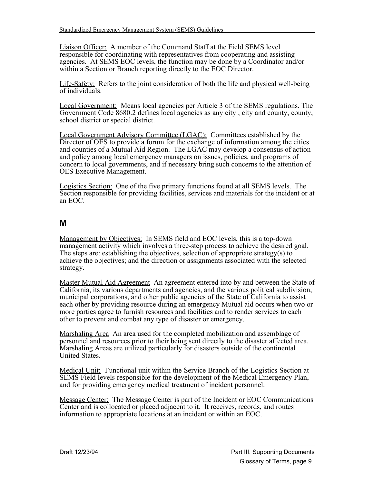Liaison Officer: A member of the Command Staff at the Field SEMS level responsible for coordinating with representatives from cooperating and assisting agencies. At SEMS EOC levels, the function may be done by a Coordinator and/or within a Section or Branch reporting directly to the EOC Director.

Life-Safety: Refers to the joint consideration of both the life and physical well-being of individuals.

Local Government: Means local agencies per Article 3 of the SEMS regulations. The Government Code 8680.2 defines local agencies as any city , city and county, county, school district or special district.

Local Government Advisory Committee (LGAC): Committees established by the Director of OES to provide a forum for the exchange of information among the cities and counties of a Mutual Aid Region. The LGAC may develop a consensus of action and policy among local emergency managers on issues, policies, and programs of concern to local governments, and if necessary bring such concerns to the attention of OES Executive Management.

Logistics Section: One of the five primary functions found at all SEMS levels. The Section responsible for providing facilities, services and materials for the incident or at an EOC.

## **M**

Management by Objectives: In SEMS field and EOC levels, this is a top-down management activity which involves a three-step process to achieve the desired goal. The steps are: establishing the objectives, selection of appropriate strategy(s) to achieve the objectives; and the direction or assignments associated with the selected strategy.

Master Mutual Aid Agreement An agreement entered into by and between the State of California, its various departments and agencies, and the various political subdivision, municipal corporations, and other public agencies of the State of California to assist each other by providing resource during an emergency Mutual aid occurs when two or more parties agree to furnish resources and facilities and to render services to each other to prevent and combat any type of disaster or emergency.

Marshaling Area An area used for the completed mobilization and assemblage of personnel and resources prior to their being sent directly to the disaster affected area. Marshaling Areas are utilized particularly for disasters outside of the continental United States.

Medical Unit: Functional unit within the Service Branch of the Logistics Section at SEMS Field levels responsible for the development of the Medical Emergency Plan, and for providing emergency medical treatment of incident personnel.

Message Center: The Message Center is part of the Incident or EOC Communications Center and is collocated or placed adjacent to it. It receives, records, and routes information to appropriate locations at an incident or within an EOC.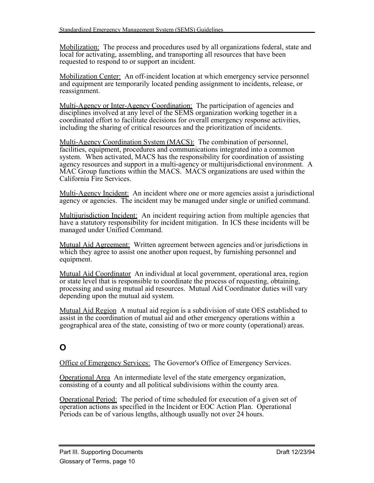Mobilization: The process and procedures used by all organizations federal, state and local for activating, assembling, and transporting all resources that have been requested to respond to or support an incident.

Mobilization Center: An off-incident location at which emergency service personnel and equipment are temporarily located pending assignment to incidents, release, or reassignment.

Multi-Agency or Inter-Agency Coordination: The participation of agencies and disciplines involved at any level of the SEMS organization working together in a coordinated effort to facilitate decisions for overall emergency response activities, including the sharing of critical resources and the prioritization of incidents.

Multi-Agency Coordination System (MACS): The combination of personnel, facilities, equipment, procedures and communications integrated into a common system. When activated, MACS has the responsibility for coordination of assisting agency resources and support in a multi-agency or multijurisdictional environment. A MAC Group functions within the MACS. MACS organizations are used within the California Fire Services.

Multi-Agency Incident: An incident where one or more agencies assist a jurisdictional agency or agencies. The incident may be managed under single or unified command.

Multijurisdiction Incident: An incident requiring action from multiple agencies that have a statutory responsibility for incident mitigation. In ICS these incidents will be managed under Unified Command.

Mutual Aid Agreement: Written agreement between agencies and/or jurisdictions in which they agree to assist one another upon request, by furnishing personnel and equipment.

Mutual Aid Coordinator An individual at local government, operational area, region or state level that is responsible to coordinate the process of requesting, obtaining, processing and using mutual aid resources. Mutual Aid Coordinator duties will vary depending upon the mutual aid system.

Mutual Aid Region A mutual aid region is a subdivision of state OES established to assist in the coordination of mutual aid and other emergency operations within a geographical area of the state, consisting of two or more county (operational) areas.

## **O**

Office of Emergency Services: The Governor's Office of Emergency Services.

Operational Area An intermediate level of the state emergency organization, consisting of a county and all political subdivisions within the county area.

Operational Period: The period of time scheduled for execution of a given set of operation actions as specified in the Incident or EOC Action Plan. Operational Periods can be of various lengths, although usually not over 24 hours.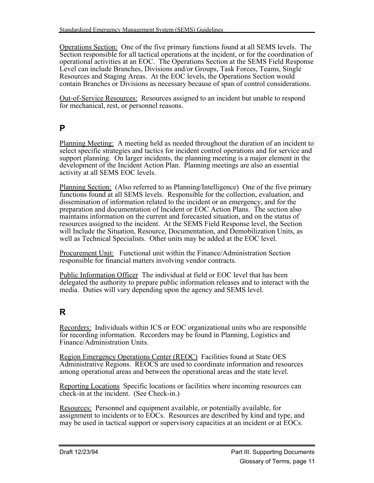Operations Section: One of the five primary functions found at all SEMS levels. The Section responsible for all tactical operations at the incident, or for the coordination of operational activities at an EOC. The Operations Section at the SEMS Field Response Level can include Branches, Divisions and/or Groups, Task Forces, Teams, Single Resources and Staging Areas. At the EOC levels, the Operations Section would contain Branches or Divisions as necessary because of span of control considerations.

Out-of-Service Resources: Resources assigned to an incident but unable to respond for mechanical, rest, or personnel reasons.

#### **P**

Planning Meeting: A meeting held as needed throughout the duration of an incident to select specific strategies and tactics for incident control operations and for service and support planning. On larger incidents, the planning meeting is a major element in the development of the Incident Action Plan. Planning meetings are also an essential activity at all SEMS EOC levels.

Planning Section: (Also referred to as Planning/Intelligence) One of the five primary functions found at all SEMS levels. Responsible for the collection, evaluation, and dissemination of information related to the incident or an emergency, and for the preparation and documentation of Incident or EOC Action Plans. The section also maintains information on the current and forecasted situation, and on the status of resources assigned to the incident. At the SEMS Field Response level, the Section will Include the Situation, Resource, Documentation, and Demobilization Units, as well as Technical Specialists. Other units may be added at the EOC level.

Procurement Unit: Functional unit within the Finance/Administration Section responsible for financial matters involving vendor contracts.

Public Information Officer The individual at field or EOC level that has been delegated the authority to prepare public information releases and to interact with the media. Duties will vary depending upon the agency and SEMS level.

# **R**

Recorders: Individuals within ICS or EOC organizational units who are responsible for recording information. Recorders may be found in Planning, Logistics and Finance/Administration Units.

Region Emergency Operations Center (REOC) Facilities found at State OES Administrative Regions. REOCS are used to coordinate information and resources among operational areas and between the operational areas and the state level.

Reporting Locations Specific locations or facilities where incoming resources can check-in at the incident. (See Check-in.)

Resources: Personnel and equipment available, or potentially available, for assignment to incidents or to EOCs. Resources are described by kind and type, and may be used in tactical support or supervisory capacities at an incident or at EOCs.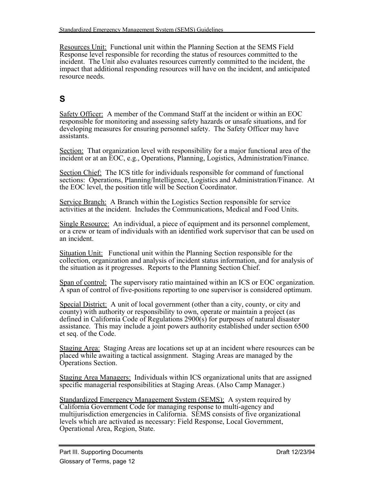Resources Unit: Functional unit within the Planning Section at the SEMS Field Response level responsible for recording the status of resources committed to the incident. The Unit also evaluates resources currently committed to the incident, the impact that additional responding resources will have on the incident, and anticipated resource needs.

# **S**

Safety Officer: A member of the Command Staff at the incident or within an EOC responsible for monitoring and assessing safety hazards or unsafe situations, and for developing measures for ensuring personnel safety. The Safety Officer may have assistants.

Section: That organization level with responsibility for a major functional area of the incident or at an EOC, e.g., Operations, Planning, Logistics, Administration/Finance.

Section Chief: The ICS title for individuals responsible for command of functional sections: Operations, Planning/Intelligence, Logistics and Administration/Finance. At the EOC level, the position title will be Section Coordinator.

Service Branch: A Branch within the Logistics Section responsible for service activities at the incident. Includes the Communications, Medical and Food Units.

Single Resource: An individual, a piece of equipment and its personnel complement, or a crew or team of individuals with an identified work supervisor that can be used on an incident.

Situation Unit: Functional unit within the Planning Section responsible for the collection, organization and analysis of incident status information, and for analysis of the situation as it progresses. Reports to the Planning Section Chief.

Span of control: The supervisory ratio maintained within an ICS or EOC organization. A span of control of five-positions reporting to one supervisor is considered optimum.

Special District: A unit of local government (other than a city, county, or city and county) with authority or responsibility to own, operate or maintain a project (as defined in California Code of Regulations 2900(s) for purposes of natural disaster assistance. This may include a joint powers authority established under section 6500 et seq. of the Code.

Staging Area: Staging Areas are locations set up at an incident where resources can be placed while awaiting a tactical assignment. Staging Areas are managed by the Operations Section.

Staging Area Managers: Individuals within ICS organizational units that are assigned specific managerial responsibilities at Staging Areas. (Also Camp Manager.)

Standardized Emergency Management System (SEMS): A system required by California Government Code for managing response to multi-agency and multijurisdiction emergencies in California. SEMS consists of five organizational levels which are activated as necessary: Field Response, Local Government, Operational Area, Region, State.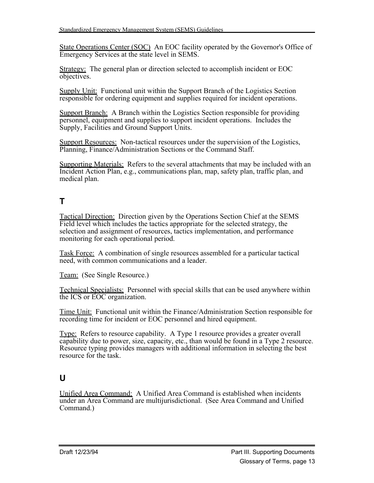State Operations Center (SOC) An EOC facility operated by the Governor's Office of Emergency Services at the state level in SEMS.

Strategy: The general plan or direction selected to accomplish incident or EOC objectives.

Supply Unit: Functional unit within the Support Branch of the Logistics Section responsible for ordering equipment and supplies required for incident operations.

Support Branch: A Branch within the Logistics Section responsible for providing personnel, equipment and supplies to support incident operations. Includes the Supply, Facilities and Ground Support Units.

Support Resources: Non-tactical resources under the supervision of the Logistics, Planning, Finance/Administration Sections or the Command Staff.

Supporting Materials: Refers to the several attachments that may be included with an Incident Action Plan, e.g., communications plan, map, safety plan, traffic plan, and medical plan.

# **T**

Tactical Direction: Direction given by the Operations Section Chief at the SEMS Field level which includes the tactics appropriate for the selected strategy, the selection and assignment of resources, tactics implementation, and performance monitoring for each operational period.

Task Force: A combination of single resources assembled for a particular tactical need, with common communications and a leader.

Team: (See Single Resource.)

Technical Specialists: Personnel with special skills that can be used anywhere within the ICS or EOC organization.

Time Unit: Functional unit within the Finance/Administration Section responsible for recording time for incident or EOC personnel and hired equipment.

Type: Refers to resource capability. A Type 1 resource provides a greater overall capability due to power, size, capacity, etc., than would be found in a Type 2 resource. Resource typing provides managers with additional information in selecting the best resource for the task.

## **U**

Unified Area Command: A Unified Area Command is established when incidents under an Area Command are multijurisdictional. (See Area Command and Unified Command.)